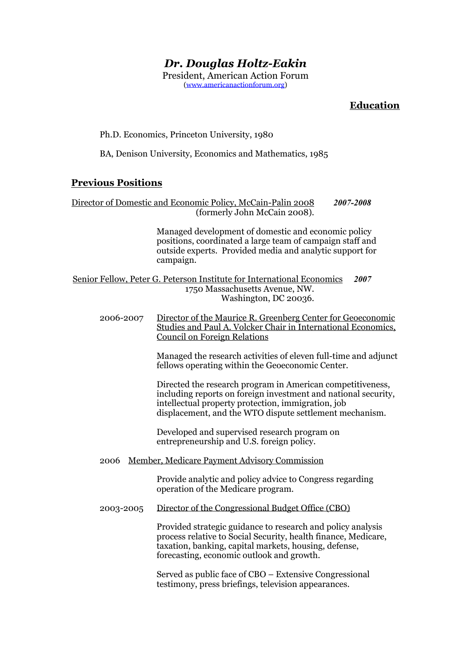# *Dr. Douglas Holtz-Eakin*

President, American Action Forum [\(www.americanactionforum.org\)](http://www.americanactionforum.org)

# **Education**

#### Ph.D. Economics, Princeton University, 1980

BA, Denison University, Economics and Mathematics, 1985

#### **Previous Positions**

Director of Domestic and Economic Policy, McCain-Palin 2008 *2007-2008* (formerly John McCain 2008).

> Managed development of domestic and economic policy positions, coordinated a large team of campaign staff and outside experts. Provided media and analytic support for campaign.

Senior Fellow, Peter G. Peterson Institute for International Economics *2007* 1750 Massachusetts Avenue, NW. Washington, DC 20036.

2006-2007 Director of the Maurice R. Greenberg Center for Geoeconomic Studies and Paul A. Volcker Chair in International Economics, Council on Foreign Relations

> Managed the research activities of eleven full-time and adjunct fellows operating within the Geoeconomic Center.

Directed the research program in American competitiveness, including reports on foreign investment and national security, intellectual property protection, immigration, job displacement, and the WTO dispute settlement mechanism.

 Developed and supervised research program on entrepreneurship and U.S. foreign policy.

2006 Member, Medicare Payment Advisory Commission

 Provide analytic and policy advice to Congress regarding operation of the Medicare program.

2003-2005 Director of the Congressional Budget Office (CBO)

Provided strategic guidance to research and policy analysis process relative to Social Security, health finance, Medicare, taxation, banking, capital markets, housing, defense, forecasting, economic outlook and growth.

Served as public face of CBO – Extensive Congressional testimony, press briefings, television appearances.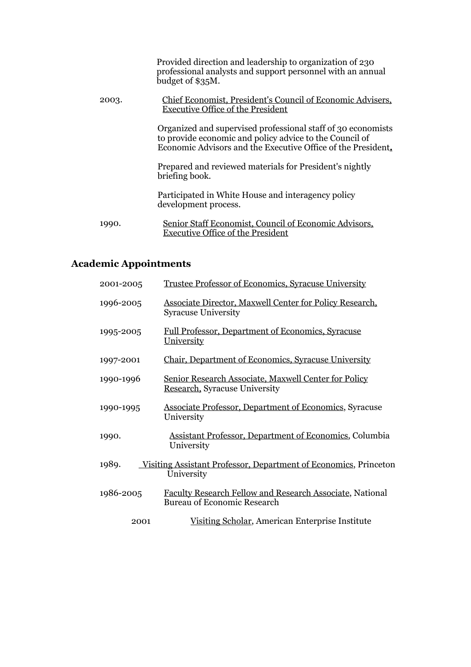|       | Provided direction and leadership to organization of 230<br>professional analysts and support personnel with an annual<br>budget of \$35M.                                              |
|-------|-----------------------------------------------------------------------------------------------------------------------------------------------------------------------------------------|
| 2003. | Chief Economist, President's Council of Economic Advisers,<br>Executive Office of the President                                                                                         |
|       | Organized and supervised professional staff of 30 economists<br>to provide economic and policy advice to the Council of<br>Economic Advisors and the Executive Office of the President. |
|       | Prepared and reviewed materials for President's nightly<br>briefing book.                                                                                                               |
|       | Participated in White House and interagency policy<br>development process.                                                                                                              |
| 1990. | Senior Staff Economist, Council of Economic Advisors,<br><b>Executive Office of the President</b>                                                                                       |

# **Academic Appointments**

| 2001-2005                                                                               | Trustee Professor of Economics, Syracuse University                                            |
|-----------------------------------------------------------------------------------------|------------------------------------------------------------------------------------------------|
| 1996-2005                                                                               | Associate Director, Maxwell Center for Policy Research,<br><b>Syracuse University</b>          |
| 1995-2005                                                                               | <b>Full Professor, Department of Economics, Syracuse</b><br>University                         |
| 1997-2001                                                                               | Chair, Department of Economics, Syracuse University                                            |
| 1990-1996                                                                               | Senior Research Associate, Maxwell Center for Policy<br>Research, Syracuse University          |
| 1990-1995                                                                               | <b>Associate Professor, Department of Economics, Syracuse</b><br>University                    |
| 1990.                                                                                   | <b>Assistant Professor, Department of Economics, Columbia</b><br>University                    |
| 1989.<br>Visiting Assistant Professor, Department of Economics, Princeton<br>University |                                                                                                |
| 1986-2005                                                                               | Faculty Research Fellow and Research Associate, National<br><b>Bureau of Economic Research</b> |
| 2001                                                                                    | Visiting Scholar, American Enterprise Institute                                                |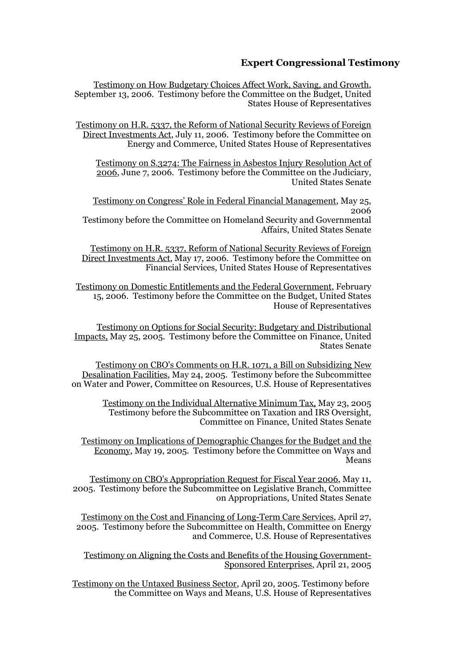### **Expert Congressional Testimony**

Testimony on How Budgetary Choices Affect Work, Saving, and Growth, September 13, 2006. Testimony before the Committee on the Budget, United States House of Representatives

Testimony on H.R. 5337, the Reform of National Security Reviews of Foreign Direct Investments Act, July 11, 2006. Testimony before the Committee on Energy and Commerce, United States House of Representatives

Testimony on S.3274: The Fairness in Asbestos Injury Resolution Act of 2006, June 7, 2006. Testimony before the Committee on the Judiciary, United States Senate

Testimony on Congress' Role in Federal Financial Management, May 25, 2006

Testimony before the Committee on Homeland Security and Governmental Affairs, United States Senate

Testimony on H.R. 5337, Reform of National Security Reviews of Foreign Direct Investments Act, May 17, 2006. Testimony before the Committee on Financial Services, United States House of Representatives

Testimony on Domestic Entitlements and the Federal Government, February 15, 2006. Testimony before the Committee on the Budget, United States House of Representatives

Testimony on Options for Social Security: Budgetary and Distributional Impacts, May 25, 2005. Testimony before the Committee on Finance, United States Senate

Testimony on CBO's Comments on H.R. 1071, a Bill on Subsidizing New Desalination Facilities, May 24, 2005. Testimony before the Subcommittee on Water and Power, Committee on Resources, U.S. House of Representatives

Testimony on the Individual Alternative Minimum Tax, May 23, 2005 Testimony before the Subcommittee on Taxation and IRS Oversight, Committee on Finance, United States Senate

Testimony on Implications of Demographic Changes for the Budget and the Economy, May 19, 2005. Testimony before the Committee on Ways and Means

Testimony on CBO's Appropriation Request for Fiscal Year 2006, May 11, 2005. Testimony before the Subcommittee on Legislative Branch, Committee on Appropriations, United States Senate

Testimony on the Cost and Financing of Long-Term Care Services, April 27, 2005. Testimony before the Subcommittee on Health, Committee on Energy and Commerce, U.S. House of Representatives

Testimony on Aligning the Costs and Benefits of the Housing Government-Sponsored Enterprises, April 21, 2005

Testimony on the Untaxed Business Sector, April 20, 2005. Testimony before the Committee on Ways and Means, U.S. House of Representatives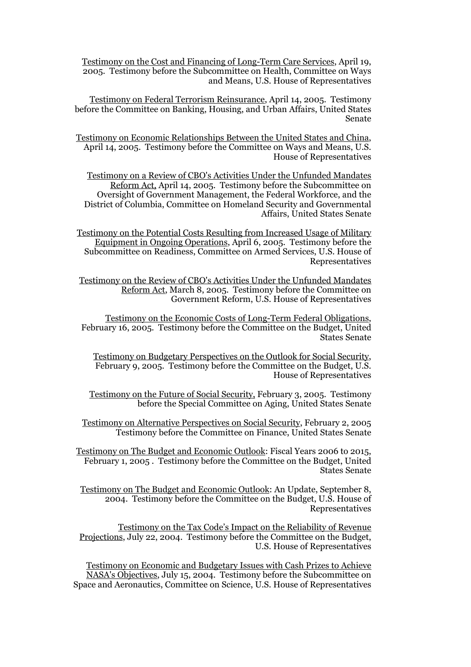Testimony on the Cost and Financing of Long-Term Care Services, April 19, 2005. Testimony before the Subcommittee on Health, Committee on Ways and Means, U.S. House of Representatives

Testimony on Federal Terrorism Reinsurance, April 14, 2005. Testimony before the Committee on Banking, Housing, and Urban Affairs, United States Senate

Testimony on Economic Relationships Between the United States and China, April 14, 2005. Testimony before the Committee on Ways and Means, U.S. House of Representatives

Testimony on a Review of CBO's Activities Under the Unfunded Mandates Reform Act, April 14, 2005. Testimony before the Subcommittee on Oversight of Government Management, the Federal Workforce, and the District of Columbia, Committee on Homeland Security and Governmental Affairs, United States Senate

Testimony on the Potential Costs Resulting from Increased Usage of Military Equipment in Ongoing Operations, April 6, 2005. Testimony before the Subcommittee on Readiness, Committee on Armed Services, U.S. House of Representatives

Testimony on the Review of CBO's Activities Under the Unfunded Mandates Reform Act, March 8, 2005. Testimony before the Committee on Government Reform, U.S. House of Representatives

Testimony on the Economic Costs of Long-Term Federal Obligations, February 16, 2005. Testimony before the Committee on the Budget, United States Senate

Testimony on Budgetary Perspectives on the Outlook for Social Security, February 9, 2005. Testimony before the Committee on the Budget, U.S. House of Representatives

Testimony on the Future of Social Security, February 3, 2005. Testimony before the Special Committee on Aging, United States Senate

Testimony on Alternative Perspectives on Social Security, February 2, 2005 Testimony before the Committee on Finance, United States Senate

Testimony on The Budget and Economic Outlook: Fiscal Years 2006 to 2015, February 1, 2005 . Testimony before the Committee on the Budget, United States Senate

Testimony on The Budget and Economic Outlook: An Update, September 8, 2004. Testimony before the Committee on the Budget, U.S. House of Representatives

Testimony on the Tax Code's Impact on the Reliability of Revenue Projections, July 22, 2004. Testimony before the Committee on the Budget, U.S. House of Representatives

Testimony on Economic and Budgetary Issues with Cash Prizes to Achieve NASA's Objectives, July 15, 2004. Testimony before the Subcommittee on Space and Aeronautics, Committee on Science, U.S. House of Representatives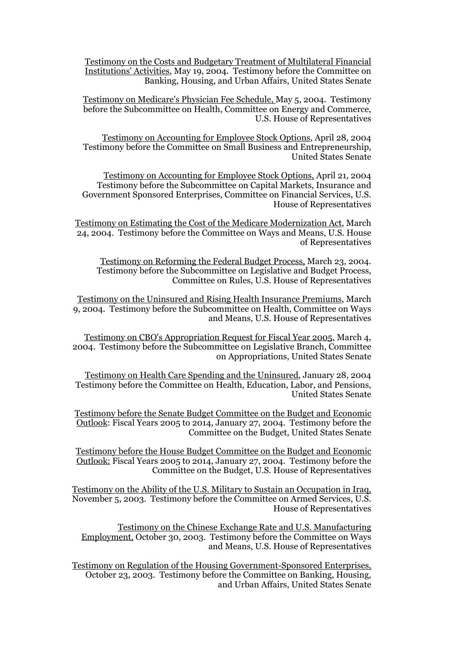Testimony on the Costs and Budgetary Treatment of Multilateral Financial Institutions' Activities, May 19, 2004. Testimony before the Committee on Banking, Housing, and Urban Affairs, United States Senate

Testimony on Medicare's Physician Fee Schedule, May 5, 2004. Testimony before the Subcommittee on Health, Committee on Energy and Commerce, U.S. House of Representatives

Testimony on Accounting for Employee Stock Options, April 28, 2004 Testimony before the Committee on Small Business and Entrepreneurship, United States Senate

Testimony on Accounting for Employee Stock Options, April 21, 2004 Testimony before the Subcommittee on Capital Markets, Insurance and Government Sponsored Enterprises, Committee on Financial Services, U.S. House of Representatives

Testimony on Estimating the Cost of the Medicare Modernization Act, March 24, 2004. Testimony before the Committee on Ways and Means, U.S. House of Representatives

 Testimony on Reforming the Federal Budget Process, March 23, 2004. Testimony before the Subcommittee on Legislative and Budget Process, Committee on Rules, U.S. House of Representatives

Testimony on the Uninsured and Rising Health Insurance Premiums, March 9, 2004. Testimony before the Subcommittee on Health, Committee on Ways and Means, U.S. House of Representatives

Testimony on CBO's Appropriation Request for Fiscal Year 2005, March 4, 2004. Testimony before the Subcommittee on Legislative Branch, Committee on Appropriations, United States Senate

Testimony on Health Care Spending and the Uninsured, January 28, 2004 Testimony before the Committee on Health, Education, Labor, and Pensions, United States Senate

Testimony before the Senate Budget Committee on the Budget and Economic Outlook: Fiscal Years 2005 to 2014, January 27, 2004. Testimony before the Committee on the Budget, United States Senate

Testimony before the House Budget Committee on the Budget and Economic Outlook: Fiscal Years 2005 to 2014, January 27, 2004. Testimony before the Committee on the Budget, U.S. House of Representatives

Testimony on the Ability of the U.S. Military to Sustain an Occupation in Iraq, November 5, 2003. Testimony before the Committee on Armed Services, U.S. House of Representatives

Testimony on the Chinese Exchange Rate and U.S. Manufacturing Employment, October 30, 2003. Testimony before the Committee on Ways and Means, U.S. House of Representatives

Testimony on Regulation of the Housing Government-Sponsored Enterprises, October 23, 2003. Testimony before the Committee on Banking, Housing, and Urban Affairs, United States Senate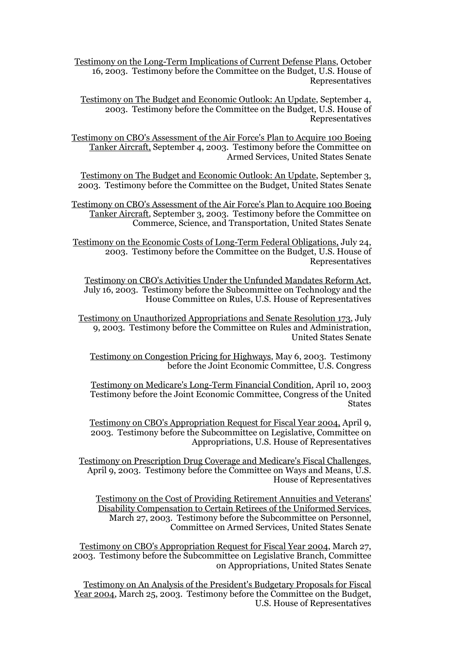Testimony on the Long-Term Implications of Current Defense Plans, October 16, 2003. Testimony before the Committee on the Budget, U.S. House of Representatives

Testimony on The Budget and Economic Outlook: An Update, September 4, 2003. Testimony before the Committee on the Budget, U.S. House of Representatives

Testimony on CBO's Assessment of the Air Force's Plan to Acquire 100 Boeing Tanker Aircraft, September 4, 2003. Testimony before the Committee on Armed Services, United States Senate

Testimony on The Budget and Economic Outlook: An Update, September 3, 2003. Testimony before the Committee on the Budget, United States Senate

Testimony on CBO's Assessment of the Air Force's Plan to Acquire 100 Boeing Tanker Aircraft, September 3, 2003. Testimony before the Committee on Commerce, Science, and Transportation, United States Senate

Testimony on the Economic Costs of Long-Term Federal Obligations, July 24, 2003. Testimony before the Committee on the Budget, U.S. House of Representatives

Testimony on CBO's Activities Under the Unfunded Mandates Reform Act, July 16, 2003. Testimony before the Subcommittee on Technology and the House Committee on Rules, U.S. House of Representatives

Testimony on Unauthorized Appropriations and Senate Resolution 173, July 9, 2003. Testimony before the Committee on Rules and Administration, United States Senate

Testimony on Congestion Pricing for Highways, May 6, 2003. Testimony before the Joint Economic Committee, U.S. Congress

Testimony on Medicare's Long-Term Financial Condition, April 10, 2003 Testimony before the Joint Economic Committee, Congress of the United **States** 

Testimony on CBO's Appropriation Request for Fiscal Year 2004, April 9, 2003. Testimony before the Subcommittee on Legislative, Committee on Appropriations, U.S. House of Representatives

Testimony on Prescription Drug Coverage and Medicare's Fiscal Challenges, April 9, 2003. Testimony before the Committee on Ways and Means, U.S. House of Representatives

Testimony on the Cost of Providing Retirement Annuities and Veterans' Disability Compensation to Certain Retirees of the Uniformed Services, March 27, 2003. Testimony before the Subcommittee on Personnel, Committee on Armed Services, United States Senate

Testimony on CBO's Appropriation Request for Fiscal Year 2004, March 27, 2003. Testimony before the Subcommittee on Legislative Branch, Committee on Appropriations, United States Senate

Testimony on An Analysis of the President's Budgetary Proposals for Fiscal Year 2004, March 25, 2003. Testimony before the Committee on the Budget, U.S. House of Representatives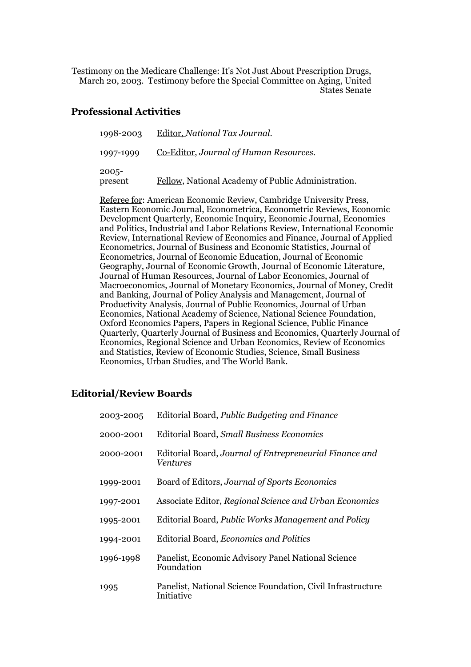Testimony on the Medicare Challenge: It's Not Just About Prescription Drugs, March 20, 2003. Testimony before the Special Committee on Aging, United States Senate

### **Professional Activities**

| 1998-2003        | Editor, National Tax Journal.                      |
|------------------|----------------------------------------------------|
| 1997-1999        | Co-Editor, Journal of Human Resources.             |
| 2005-<br>present | Fellow, National Academy of Public Administration. |

Referee for: American Economic Review, Cambridge University Press, Eastern Economic Journal, Econometrica, Econometric Reviews, Economic Development Quarterly, Economic Inquiry, Economic Journal, Economics and Politics, Industrial and Labor Relations Review, International Economic Review, International Review of Economics and Finance, Journal of Applied Econometrics, Journal of Business and Economic Statistics, Journal of Econometrics, Journal of Economic Education, Journal of Economic Geography, Journal of Economic Growth, Journal of Economic Literature, Journal of Human Resources, Journal of Labor Economics, Journal of Macroeconomics, Journal of Monetary Economics, Journal of Money, Credit and Banking, Journal of Policy Analysis and Management, Journal of Productivity Analysis, Journal of Public Economics, Journal of Urban Economics, National Academy of Science, National Science Foundation, Oxford Economics Papers, Papers in Regional Science, Public Finance Quarterly, Quarterly Journal of Business and Economics, Quarterly Journal of Economics, Regional Science and Urban Economics, Review of Economics and Statistics, Review of Economic Studies, Science, Small Business Economics, Urban Studies, and The World Bank.

# **Editorial/Review Boards**

| 2003-2005 | Editorial Board, Public Budgeting and Finance                             |
|-----------|---------------------------------------------------------------------------|
| 2000-2001 | <b>Editorial Board, Small Business Economics</b>                          |
| 2000-2001 | Editorial Board, Journal of Entrepreneurial Finance and<br>Ventures       |
| 1999-2001 | Board of Editors, Journal of Sports Economics                             |
| 1997-2001 | Associate Editor, Regional Science and Urban Economics                    |
| 1995-2001 | Editorial Board, Public Works Management and Policy                       |
| 1994-2001 | Editorial Board, <i>Economics and Politics</i>                            |
| 1996-1998 | Panelist, Economic Advisory Panel National Science<br>Foundation          |
| 1995      | Panelist, National Science Foundation, Civil Infrastructure<br>Initiative |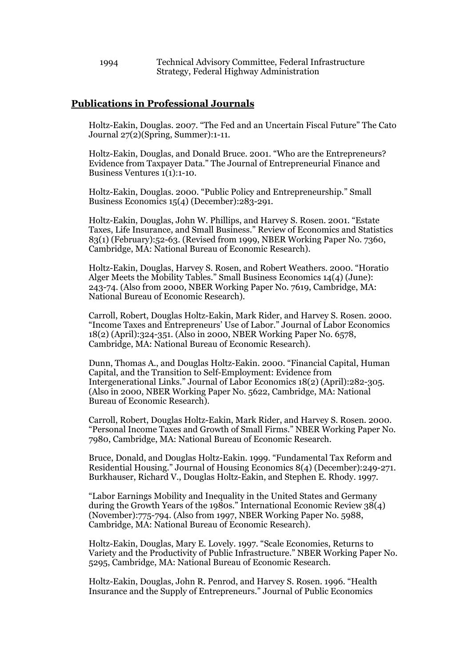1994 Technical Advisory Committee, Federal Infrastructure Strategy, Federal Highway Administration

#### **Publications in Professional Journals**

Holtz-Eakin, Douglas. 2007. "The Fed and an Uncertain Fiscal Future" The Cato Journal 27(2)(Spring, Summer):1-11.

Holtz-Eakin, Douglas, and Donald Bruce. 2001. "Who are the Entrepreneurs? Evidence from Taxpayer Data." The Journal of Entrepreneurial Finance and Business Ventures 1(1):1-10.

Holtz-Eakin, Douglas. 2000. "Public Policy and Entrepreneurship." Small Business Economics 15(4) (December):283-291.

Holtz-Eakin, Douglas, John W. Phillips, and Harvey S. Rosen. 2001. "Estate Taxes, Life Insurance, and Small Business." Review of Economics and Statistics 83(1) (February):52-63. (Revised from 1999, NBER Working Paper No. 7360, Cambridge, MA: National Bureau of Economic Research).

Holtz-Eakin, Douglas, Harvey S. Rosen, and Robert Weathers. 2000. "Horatio Alger Meets the Mobility Tables." Small Business Economics 14(4) (June): 243-74. (Also from 2000, NBER Working Paper No. 7619, Cambridge, MA: National Bureau of Economic Research).

Carroll, Robert, Douglas Holtz-Eakin, Mark Rider, and Harvey S. Rosen. 2000. "Income Taxes and Entrepreneurs' Use of Labor." Journal of Labor Economics 18(2) (April):324-351. (Also in 2000, NBER Working Paper No. 6578, Cambridge, MA: National Bureau of Economic Research).

Dunn, Thomas A., and Douglas Holtz-Eakin. 2000. "Financial Capital, Human Capital, and the Transition to Self-Employment: Evidence from Intergenerational Links." Journal of Labor Economics 18(2) (April):282-305. (Also in 2000, NBER Working Paper No. 5622, Cambridge, MA: National Bureau of Economic Research).

Carroll, Robert, Douglas Holtz-Eakin, Mark Rider, and Harvey S. Rosen. 2000. "Personal Income Taxes and Growth of Small Firms." NBER Working Paper No. 7980, Cambridge, MA: National Bureau of Economic Research.

Bruce, Donald, and Douglas Holtz-Eakin. 1999. "Fundamental Tax Reform and Residential Housing." Journal of Housing Economics 8(4) (December):249-271. Burkhauser, Richard V., Douglas Holtz-Eakin, and Stephen E. Rhody. 1997.

"Labor Earnings Mobility and Inequality in the United States and Germany during the Growth Years of the 1980s." International Economic Review 38(4) (November):775-794. (Also from 1997, NBER Working Paper No. 5988, Cambridge, MA: National Bureau of Economic Research).

Holtz-Eakin, Douglas, Mary E. Lovely. 1997. "Scale Economies, Returns to Variety and the Productivity of Public Infrastructure." NBER Working Paper No. 5295, Cambridge, MA: National Bureau of Economic Research.

Holtz-Eakin, Douglas, John R. Penrod, and Harvey S. Rosen. 1996. "Health Insurance and the Supply of Entrepreneurs." Journal of Public Economics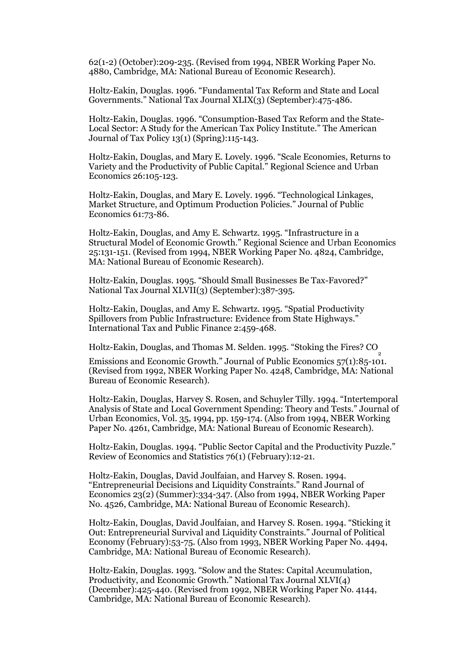62(1-2) (October):209-235. (Revised from 1994, NBER Working Paper No. 4880, Cambridge, MA: National Bureau of Economic Research).

Holtz-Eakin, Douglas. 1996. "Fundamental Tax Reform and State and Local Governments." National Tax Journal XLIX(3) (September):475-486.

Holtz-Eakin, Douglas. 1996. "Consumption-Based Tax Reform and the State-Local Sector: A Study for the American Tax Policy Institute." The American Journal of Tax Policy 13(1) (Spring):115-143.

Holtz-Eakin, Douglas, and Mary E. Lovely. 1996. "Scale Economies, Returns to Variety and the Productivity of Public Capital." Regional Science and Urban Economics 26:105-123.

Holtz-Eakin, Douglas, and Mary E. Lovely. 1996. "Technological Linkages, Market Structure, and Optimum Production Policies." Journal of Public Economics 61:73-86.

Holtz-Eakin, Douglas, and Amy E. Schwartz. 1995. "Infrastructure in a Structural Model of Economic Growth." Regional Science and Urban Economics 25:131-151. (Revised from 1994, NBER Working Paper No. 4824, Cambridge, MA: National Bureau of Economic Research).

Holtz-Eakin, Douglas. 1995. "Should Small Businesses Be Tax-Favored?" National Tax Journal XLVII(3) (September):387-395.

Holtz-Eakin, Douglas, and Amy E. Schwartz. 1995. "Spatial Productivity Spillovers from Public Infrastructure: Evidence from State Highways." International Tax and Public Finance 2:459-468.

Holtz-Eakin, Douglas, and Thomas M. Selden. 1995. "Stoking the Fires? CO

Emissions and Economic Growth." Journal of Public Economics 57(1):85-101. (Revised from 1992, NBER Working Paper No. 4248, Cambridge, MA: National Bureau of Economic Research).

Holtz-Eakin, Douglas, Harvey S. Rosen, and Schuyler Tilly. 1994. "Intertemporal Analysis of State and Local Government Spending: Theory and Tests." Journal of Urban Economics, Vol. 35, 1994, pp. 159-174. (Also from 1994, NBER Working Paper No. 4261, Cambridge, MA: National Bureau of Economic Research).

Holtz-Eakin, Douglas. 1994. "Public Sector Capital and the Productivity Puzzle." Review of Economics and Statistics 76(1) (February):12-21.

Holtz-Eakin, Douglas, David Joulfaian, and Harvey S. Rosen. 1994. "Entrepreneurial Decisions and Liquidity Constraints." Rand Journal of Economics 23(2) (Summer):334-347. (Also from 1994, NBER Working Paper No. 4526, Cambridge, MA: National Bureau of Economic Research).

Holtz-Eakin, Douglas, David Joulfaian, and Harvey S. Rosen. 1994. "Sticking it Out: Entrepreneurial Survival and Liquidity Constraints." Journal of Political Economy (February):53-75. (Also from 1993, NBER Working Paper No. 4494, Cambridge, MA: National Bureau of Economic Research).

Holtz-Eakin, Douglas. 1993. "Solow and the States: Capital Accumulation, Productivity, and Economic Growth." National Tax Journal XLVI(4) (December):425-440. (Revised from 1992, NBER Working Paper No. 4144, Cambridge, MA: National Bureau of Economic Research).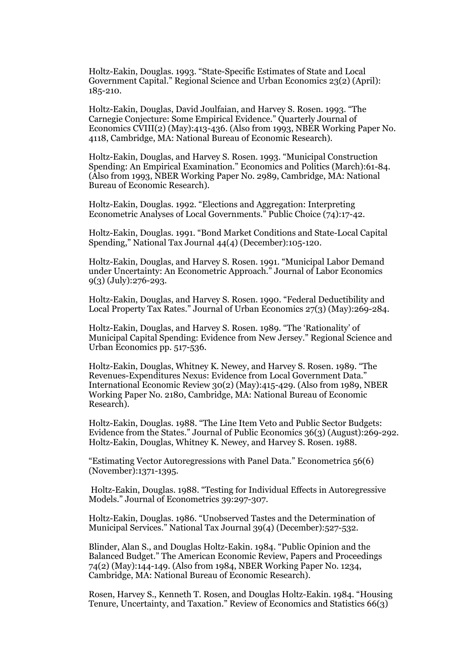Holtz-Eakin, Douglas. 1993. "State-Specific Estimates of State and Local Government Capital." Regional Science and Urban Economics 23(2) (April): 185-210.

Holtz-Eakin, Douglas, David Joulfaian, and Harvey S. Rosen. 1993. "The Carnegie Conjecture: Some Empirical Evidence." Quarterly Journal of Economics CVIII(2) (May):413-436. (Also from 1993, NBER Working Paper No. 4118, Cambridge, MA: National Bureau of Economic Research).

Holtz-Eakin, Douglas, and Harvey S. Rosen. 1993. "Municipal Construction Spending: An Empirical Examination." Economics and Politics (March):61-84. (Also from 1993, NBER Working Paper No. 2989, Cambridge, MA: National Bureau of Economic Research).

Holtz-Eakin, Douglas. 1992. "Elections and Aggregation: Interpreting Econometric Analyses of Local Governments." Public Choice (74):17-42.

Holtz-Eakin, Douglas. 1991. "Bond Market Conditions and State-Local Capital Spending," National Tax Journal 44(4) (December):105-120.

Holtz-Eakin, Douglas, and Harvey S. Rosen. 1991. "Municipal Labor Demand under Uncertainty: An Econometric Approach." Journal of Labor Economics 9(3) (July):276-293.

Holtz-Eakin, Douglas, and Harvey S. Rosen. 1990. "Federal Deductibility and Local Property Tax Rates." Journal of Urban Economics 27(3) (May):269-284.

Holtz-Eakin, Douglas, and Harvey S. Rosen. 1989. "The 'Rationality' of Municipal Capital Spending: Evidence from New Jersey." Regional Science and Urban Economics pp. 517-536.

Holtz-Eakin, Douglas, Whitney K. Newey, and Harvey S. Rosen. 1989. "The Revenues-Expenditures Nexus: Evidence from Local Government Data." International Economic Review 30(2) (May):415-429. (Also from 1989, NBER Working Paper No. 2180, Cambridge, MA: National Bureau of Economic Research).

Holtz-Eakin, Douglas. 1988. "The Line Item Veto and Public Sector Budgets: Evidence from the States." Journal of Public Economics 36(3) (August):269-292. Holtz-Eakin, Douglas, Whitney K. Newey, and Harvey S. Rosen. 1988.

"Estimating Vector Autoregressions with Panel Data." Econometrica 56(6) (November):1371-1395.

 Holtz-Eakin, Douglas. 1988. "Testing for Individual Effects in Autoregressive Models." Journal of Econometrics 39:297-307.

Holtz-Eakin, Douglas. 1986. "Unobserved Tastes and the Determination of Municipal Services." National Tax Journal 39(4) (December):527-532.

Blinder, Alan S., and Douglas Holtz-Eakin. 1984. "Public Opinion and the Balanced Budget." The American Economic Review, Papers and Proceedings 74(2) (May):144-149. (Also from 1984, NBER Working Paper No. 1234, Cambridge, MA: National Bureau of Economic Research).

Rosen, Harvey S., Kenneth T. Rosen, and Douglas Holtz-Eakin. 1984. "Housing Tenure, Uncertainty, and Taxation." Review of Economics and Statistics 66(3)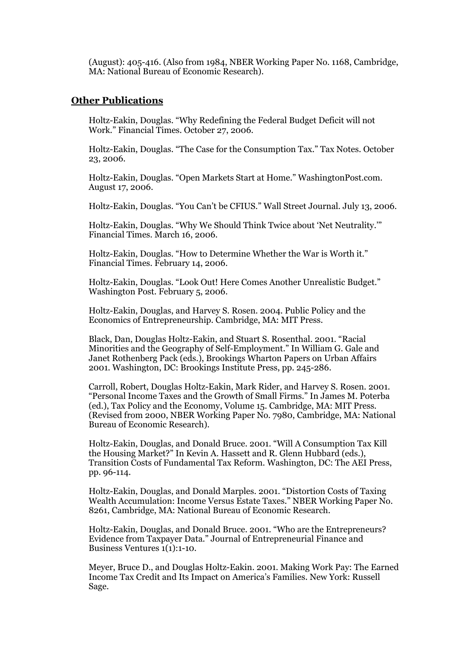(August): 405-416. (Also from 1984, NBER Working Paper No. 1168, Cambridge, MA: National Bureau of Economic Research).

#### **Other Publications**

Holtz-Eakin, Douglas. "Why Redefining the Federal Budget Deficit will not Work." Financial Times. October 27, 2006.

Holtz-Eakin, Douglas. "The Case for the Consumption Tax." Tax Notes. October 23, 2006.

Holtz-Eakin, Douglas. "Open Markets Start at Home." WashingtonPost.com. August 17, 2006.

Holtz-Eakin, Douglas. "You Can't be CFIUS." Wall Street Journal. July 13, 2006.

Holtz-Eakin, Douglas. "Why We Should Think Twice about 'Net Neutrality.'" Financial Times. March 16, 2006.

Holtz-Eakin, Douglas. "How to Determine Whether the War is Worth it." Financial Times. February 14, 2006.

Holtz-Eakin, Douglas. "Look Out! Here Comes Another Unrealistic Budget." Washington Post. February 5, 2006.

Holtz-Eakin, Douglas, and Harvey S. Rosen. 2004. Public Policy and the Economics of Entrepreneurship. Cambridge, MA: MIT Press.

Black, Dan, Douglas Holtz-Eakin, and Stuart S. Rosenthal. 2001. "Racial Minorities and the Geography of Self-Employment." In William G. Gale and Janet Rothenberg Pack (eds.), Brookings Wharton Papers on Urban Affairs 2001. Washington, DC: Brookings Institute Press, pp. 245-286.

Carroll, Robert, Douglas Holtz-Eakin, Mark Rider, and Harvey S. Rosen. 2001. "Personal Income Taxes and the Growth of Small Firms." In James M. Poterba (ed.), Tax Policy and the Economy, Volume 15. Cambridge, MA: MIT Press. (Revised from 2000, NBER Working Paper No. 7980, Cambridge, MA: National Bureau of Economic Research).

Holtz-Eakin, Douglas, and Donald Bruce. 2001. "Will A Consumption Tax Kill the Housing Market?" In Kevin A. Hassett and R. Glenn Hubbard (eds.), Transition Costs of Fundamental Tax Reform. Washington, DC: The AEI Press, pp. 96-114.

Holtz-Eakin, Douglas, and Donald Marples. 2001. "Distortion Costs of Taxing Wealth Accumulation: Income Versus Estate Taxes." NBER Working Paper No. 8261, Cambridge, MA: National Bureau of Economic Research.

Holtz-Eakin, Douglas, and Donald Bruce. 2001. "Who are the Entrepreneurs? Evidence from Taxpayer Data." Journal of Entrepreneurial Finance and Business Ventures 1(1):1-10.

Meyer, Bruce D., and Douglas Holtz-Eakin. 2001. Making Work Pay: The Earned Income Tax Credit and Its Impact on America's Families. New York: Russell Sage.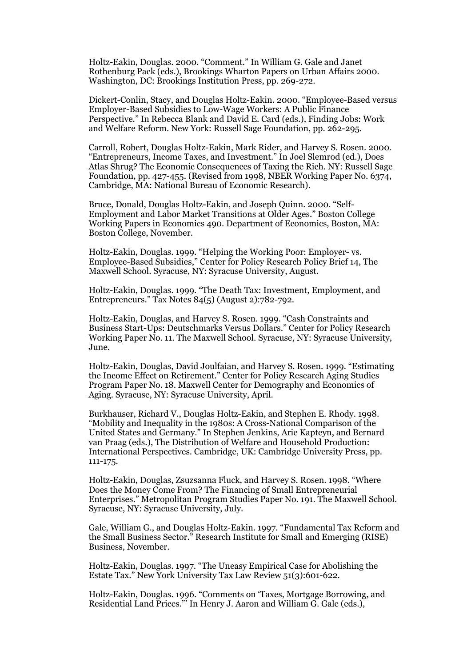Holtz-Eakin, Douglas. 2000. "Comment." In William G. Gale and Janet Rothenburg Pack (eds.), Brookings Wharton Papers on Urban Affairs 2000. Washington, DC: Brookings Institution Press, pp. 269-272.

Dickert-Conlin, Stacy, and Douglas Holtz-Eakin. 2000. "Employee-Based versus Employer-Based Subsidies to Low-Wage Workers: A Public Finance Perspective." In Rebecca Blank and David E. Card (eds.), Finding Jobs: Work and Welfare Reform. New York: Russell Sage Foundation, pp. 262-295.

Carroll, Robert, Douglas Holtz-Eakin, Mark Rider, and Harvey S. Rosen. 2000. "Entrepreneurs, Income Taxes, and Investment." In Joel Slemrod (ed.), Does Atlas Shrug? The Economic Consequences of Taxing the Rich. NY: Russell Sage Foundation, pp. 427-455. (Revised from 1998, NBER Working Paper No. 6374, Cambridge, MA: National Bureau of Economic Research).

Bruce, Donald, Douglas Holtz-Eakin, and Joseph Quinn. 2000. "Self-Employment and Labor Market Transitions at Older Ages." Boston College Working Papers in Economics 490. Department of Economics, Boston, MA: Boston College, November.

Holtz-Eakin, Douglas. 1999. "Helping the Working Poor: Employer- vs. Employee-Based Subsidies," Center for Policy Research Policy Brief 14, The Maxwell School. Syracuse, NY: Syracuse University, August.

Holtz-Eakin, Douglas. 1999. "The Death Tax: Investment, Employment, and Entrepreneurs." Tax Notes 84(5) (August 2):782-792.

Holtz-Eakin, Douglas, and Harvey S. Rosen. 1999. "Cash Constraints and Business Start-Ups: Deutschmarks Versus Dollars." Center for Policy Research Working Paper No. 11. The Maxwell School. Syracuse, NY: Syracuse University, June.

Holtz-Eakin, Douglas, David Joulfaian, and Harvey S. Rosen. 1999. "Estimating the Income Effect on Retirement." Center for Policy Research Aging Studies Program Paper No. 18. Maxwell Center for Demography and Economics of Aging. Syracuse, NY: Syracuse University, April.

Burkhauser, Richard V., Douglas Holtz-Eakin, and Stephen E. Rhody. 1998. "Mobility and Inequality in the 1980s: A Cross-National Comparison of the United States and Germany." In Stephen Jenkins, Arie Kapteyn, and Bernard van Praag (eds.), The Distribution of Welfare and Household Production: International Perspectives. Cambridge, UK: Cambridge University Press, pp. 111-175.

Holtz-Eakin, Douglas, Zsuzsanna Fluck, and Harvey S. Rosen. 1998. "Where Does the Money Come From? The Financing of Small Entrepreneurial Enterprises." Metropolitan Program Studies Paper No. 191. The Maxwell School. Syracuse, NY: Syracuse University, July.

Gale, William G., and Douglas Holtz-Eakin. 1997. "Fundamental Tax Reform and the Small Business Sector." Research Institute for Small and Emerging (RISE) Business, November.

Holtz-Eakin, Douglas. 1997. "The Uneasy Empirical Case for Abolishing the Estate Tax." New York University Tax Law Review 51(3):601-622.

Holtz-Eakin, Douglas. 1996. "Comments on 'Taxes, Mortgage Borrowing, and Residential Land Prices.'" In Henry J. Aaron and William G. Gale (eds.),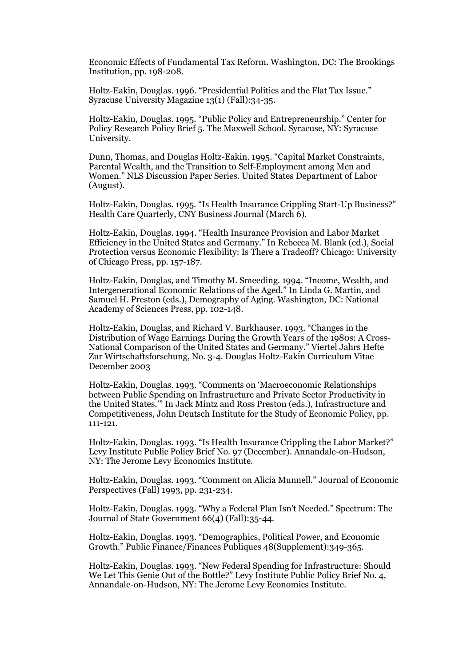Economic Effects of Fundamental Tax Reform. Washington, DC: The Brookings Institution, pp. 198-208.

Holtz-Eakin, Douglas. 1996. "Presidential Politics and the Flat Tax Issue." Syracuse University Magazine 13(1) (Fall):34-35.

Holtz-Eakin, Douglas. 1995. "Public Policy and Entrepreneurship." Center for Policy Research Policy Brief 5. The Maxwell School. Syracuse, NY: Syracuse University.

Dunn, Thomas, and Douglas Holtz-Eakin. 1995. "Capital Market Constraints, Parental Wealth, and the Transition to Self-Employment among Men and Women." NLS Discussion Paper Series. United States Department of Labor (August).

Holtz-Eakin, Douglas. 1995. "Is Health Insurance Crippling Start-Up Business?" Health Care Quarterly, CNY Business Journal (March 6).

Holtz-Eakin, Douglas. 1994. "Health Insurance Provision and Labor Market Efficiency in the United States and Germany." In Rebecca M. Blank (ed.), Social Protection versus Economic Flexibility: Is There a Tradeoff? Chicago: University of Chicago Press, pp. 157-187.

Holtz-Eakin, Douglas, and Timothy M. Smeeding. 1994. "Income, Wealth, and Intergenerational Economic Relations of the Aged." In Linda G. Martin, and Samuel H. Preston (eds.), Demography of Aging. Washington, DC: National Academy of Sciences Press, pp. 102-148.

Holtz-Eakin, Douglas, and Richard V. Burkhauser. 1993. "Changes in the Distribution of Wage Earnings During the Growth Years of the 1980s: A Cross-National Comparison of the United States and Germany." Viertel Jahrs Hefte Zur Wirtschaftsforschung, No. 3-4. Douglas Holtz-Eakin Curriculum Vitae December 2003

Holtz-Eakin, Douglas. 1993. "Comments on 'Macroeconomic Relationships between Public Spending on Infrastructure and Private Sector Productivity in the United States.'" In Jack Mintz and Ross Preston (eds.), Infrastructure and Competitiveness, John Deutsch Institute for the Study of Economic Policy, pp. 111-121.

Holtz-Eakin, Douglas. 1993. "Is Health Insurance Crippling the Labor Market?" Levy Institute Public Policy Brief No. 97 (December). Annandale-on-Hudson, NY: The Jerome Levy Economics Institute.

Holtz-Eakin, Douglas. 1993. "Comment on Alicia Munnell." Journal of Economic Perspectives (Fall) 1993, pp. 231-234.

Holtz-Eakin, Douglas. 1993. "Why a Federal Plan Isn't Needed." Spectrum: The Journal of State Government 66(4) (Fall):35-44.

Holtz-Eakin, Douglas. 1993. "Demographics, Political Power, and Economic Growth." Public Finance/Finances Publiques 48(Supplement):349-365.

Holtz-Eakin, Douglas. 1993. "New Federal Spending for Infrastructure: Should We Let This Genie Out of the Bottle?" Levy Institute Public Policy Brief No. 4, Annandale-on-Hudson, NY: The Jerome Levy Economics Institute.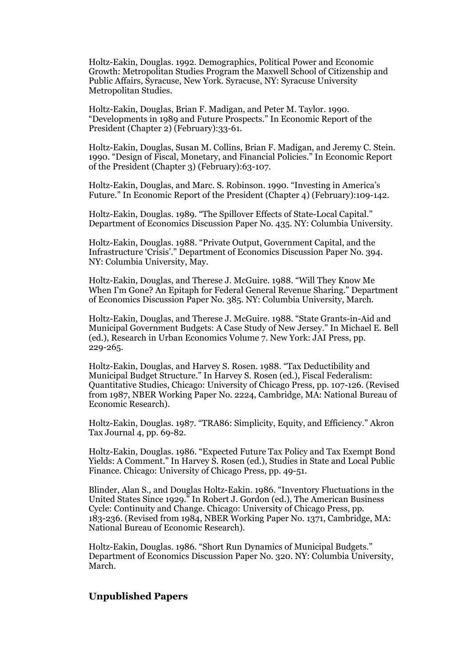Holtz-Eakin, Douglas. 1992. Demographics, Political Power and Economic Growth: Metropolitan Studies Program the Maxwell School of Citizenship and Public Affairs, Syracuse, New York. Syracuse, NY: Syracuse University Metropolitan Studies.

Holtz-Eakin, Douglas, Brian F. Madigan, and Peter M. Taylor. 1990. "Developments in 1989 and Future Prospects." In Economic Report of the President (Chapter 2) (February):33-61.

Holtz-Eakin, Douglas, Susan M. Collins, Brian F. Madigan, and Jeremy C. Stein. 1990. "Design of Fiscal, Monetary, and Financial Policies." In Economic Report of the President (Chapter 3) (February):63-107.

Holtz-Eakin, Douglas, and Marc. S. Robinson. 1990. "Investing in America's Future." In Economic Report of the President (Chapter 4) (February):109-142.

Holtz-Eakin, Douglas. 1989. "The Spillover Effects of State-Local Capital." Department of Economics Discussion Paper No. 435. NY: Columbia University.

Holtz-Eakin, Douglas. 1988. "Private Output, Government Capital, and the Infrastructure 'Crisis'." Department of Economics Discussion Paper No. 394. NY: Columbia University, May.

Holtz-Eakin, Douglas, and Therese J. McGuire. 1988. "Will They Know Me When I'm Gone? An Epitaph for Federal General Revenue Sharing." Department of Economics Discussion Paper No. 385. NY: Columbia University, March.

Holtz-Eakin, Douglas, and Therese J. McGuire. 1988. "State Grants-in-Aid and Municipal Government Budgets: A Case Study of New Jersey." In Michael E. Bell (ed.), Research in Urban Economics Volume 7. New York: JAI Press, pp. 229-265.

Holtz-Eakin, Douglas, and Harvey S. Rosen. 1988. "Tax Deductibility and Municipal Budget Structure." In Harvey S. Rosen (ed.), Fiscal Federalism: Quantitative Studies, Chicago: University of Chicago Press, pp. 107-126. (Revised from 1987, NBER Working Paper No. 2224, Cambridge, MA: National Bureau of Economic Research).

Holtz-Eakin, Douglas. 1987. "TRA86: Simplicity, Equity, and Efficiency." Akron Tax Journal 4, pp. 69-82.

Holtz-Eakin, Douglas. 1986. "Expected Future Tax Policy and Tax Exempt Bond Yields: A Comment." In Harvey S. Rosen (ed.), Studies in State and Local Public Finance. Chicago: University of Chicago Press, pp. 49-51.

Blinder, Alan S., and Douglas Holtz-Eakin. 1986. "Inventory Fluctuations in the United States Since 1929." In Robert J. Gordon (ed.), The American Business Cycle: Continuity and Change. Chicago: University of Chicago Press, pp. 183-236. (Revised from 1984, NBER Working Paper No. 1371, Cambridge, MA: National Bureau of Economic Research).

Holtz-Eakin, Douglas. 1986. "Short Run Dynamics of Municipal Budgets." Department of Economics Discussion Paper No. 320. NY: Columbia University, March.

## **Unpublished Papers**